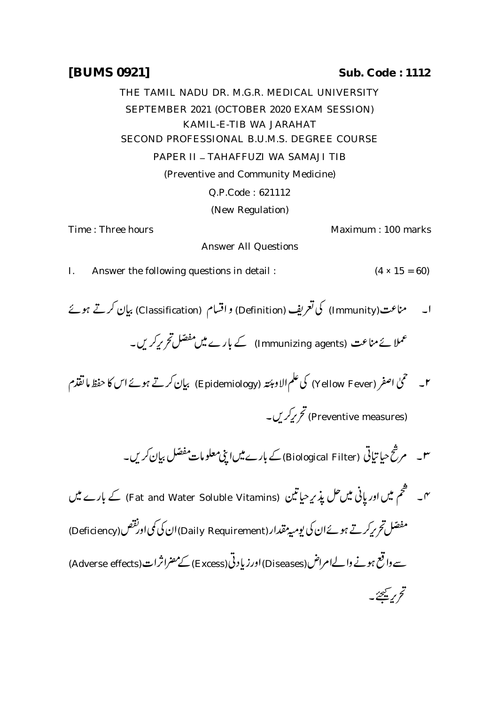## **[BUMS 0921] Sub. Code : 1112**

THE TAMIL NADU DR. M.G.R. MEDICAL UNIVERSITY SEPTEMBER 2021 (OCTOBER 2020 EXAM SESSION) KAMIL-E-TIB WA JARAHAT SECOND PROFESSIONAL B.U.M.S. DEGREE COURSE PAPER II – TAHAFFUZI WA SAMAJI TIB (Preventive and Community Medicine) Q.P.Code : 621112 (New Regulation) Time : Three hours Maximum : 100 marks Answer All Questions I. Answer the following questions in detail :  $(4 \times 15 = 60)$ ا۔ مناعت(Immunity) کی تعریف (Definition) و اقسام (Classification) بیان کرتے ہوئے کے بارے میں مفصّل *تحریرکری*ں۔  $\ddot{\cdot}$ عملا ئے مناعت (Immunizing agents) کے بارے میں مفصّل تحریرکریں نملا ئے مناعت ۲۔ محمیٰ اصفر (Yellow Fever) کی علم الاومپئتہ (Epidemiology) بیان کرتے ہوئے اس کا حفظ ما تقذم  $\overline{\phantom{a}}$ (Preventive measures) تحریرکر ل کے بارے میں اپنی معلومات مفصّل بیان *کری*ں۔  $\ddot{\cdot}$ ۳۔ مرشح حیا تیاتی (Biological Filter) کے بارے میں اپنی معلومات مفصّل بیان َ (Fat and Water Soluble Vitamins) ė ֧֦֧֢ׅ֧֢ׅ֦֧ׅ֧ׅ֧֧ׅ֧֚֬֝֜֓֓֕֓֡֬֝֬֜֓֓֬֝֬֓֝֬֜֓֓֝֬ گم  $\ddot{z}$ نہ۔ سطحم میں اور پانی میں حل پذیر <sub>حیا</sub>تین برٹے ہوئے ان کی یومیہ مقدار (Daily Requirement) ان کی می اور عص (Deficiency) مفصّل  $\ddot{\cdot}$ ۔<br>صل تحری<sub>ہ</sub> سے واقع ہونے والےامراض (Diseases) اورز بادنی (Excess) کے مضراثر ات تح بريچھئے۔